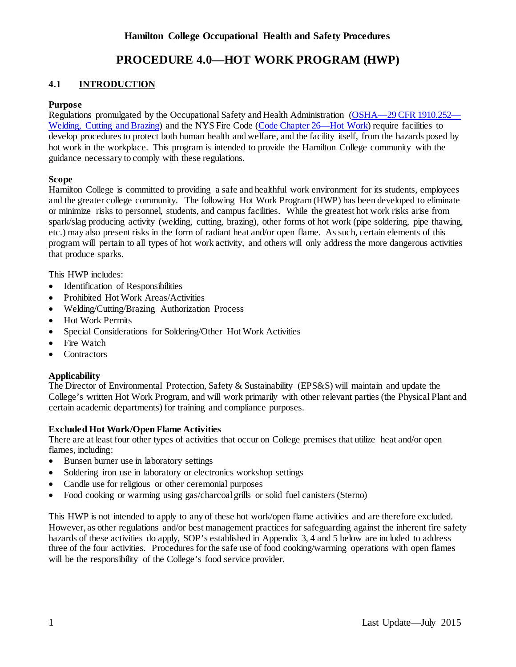# **PROCEDURE 4.0—HOT WORK PROGRAM (HWP)**

# **4.1 INTRODUCTION**

#### **Purpose**

Regulations promulgated by the Occupational Safety and Health Administration [\(OSHA—29 CFR 1910.252—](https://www.osha.gov/pls/oshaweb/owadisp.show_document?p_id=9853&p_table=STANDARDS) [Welding, Cutting and Brazing\)](https://www.osha.gov/pls/oshaweb/owadisp.show_document?p_id=9853&p_table=STANDARDS) and the NYS Fire Code [\(Code Chapter 26—Hot Work\)](http://publicecodes.cyberregs.com/st/ny/st/b300v10/st_ny_st_b300v10_26_sec001.htm) require facilities to develop procedures to protect both human health and welfare, and the facility itself, from the hazards posed by hot work in the workplace. This program is intended to provide the Hamilton College community with the guidance necessary to comply with these regulations.

#### **Scope**

Hamilton College is committed to providing a safe and healthful work environment for its students, employees and the greater college community. The following Hot Work Program (HWP) has been developed to eliminate or minimize risks to personnel, students, and campus facilities. While the greatest hot work risks arise from spark/slag producing activity (welding, cutting, brazing), other forms of hot work (pipe soldering, pipe thawing, etc.) may also present risks in the form of radiant heat and/or open flame. As such, certain elements of this program will pertain to all types of hot work activity, and others will only address the more dangerous activities that produce sparks.

This HWP includes:

- Identification of Responsibilities
- Prohibited Hot Work Areas/Activities
- Welding/Cutting/Brazing Authorization Process
- Hot Work Permits
- Special Considerations for Soldering/Other Hot Work Activities
- Fire Watch
- Contractors

#### **Applicability**

The Director of Environmental Protection, Safety & Sustainability (EPS&S) will maintain and update the College's written Hot Work Program, and will work primarily with other relevant parties (the Physical Plant and certain academic departments) for training and compliance purposes.

#### **Excluded Hot Work/Open Flame Activities**

There are at least four other types of activities that occur on College premises that utilize heat and/or open flames, including:

- Bunsen burner use in laboratory settings
- Soldering iron use in laboratory or electronics workshop settings
- Candle use for religious or other ceremonial purposes
- Food cooking or warming using gas/charcoal grills or solid fuel canisters (Sterno)

This HWP is not intended to apply to any of these hot work/open flame activities and are therefore excluded. However, as other regulations and/or best management practices for safeguarding against the inherent fire safety hazards of these activities do apply, SOP's established in Appendix 3, 4 and 5 below are included to address three of the four activities. Procedures for the safe use of food cooking/warming operations with open flames will be the responsibility of the College's food service provider.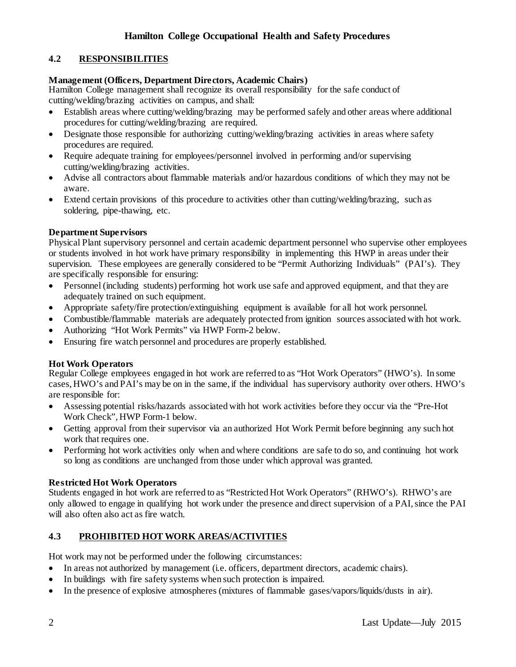# **4.2 RESPONSIBILITIES**

### **Management (Officers, Department Directors, Academic Chairs)**

Hamilton College management shall recognize its overall responsibility for the safe conduct of cutting/welding/brazing activities on campus, and shall:

- Establish areas where cutting/welding/brazing may be performed safely and other areas where additional procedures for cutting/welding/brazing are required.
- Designate those responsible for authorizing cutting/welding/brazing activities in areas where safety procedures are required.
- Require adequate training for employees/personnel involved in performing and/or supervising cutting/welding/brazing activities.
- Advise all contractors about flammable materials and/or hazardous conditions of which they may not be aware.
- Extend certain provisions of this procedure to activities other than cutting/welding/brazing, such as soldering, pipe-thawing, etc.

#### **Department Supervisors**

Physical Plant supervisory personnel and certain academic department personnel who supervise other employees or students involved in hot work have primary responsibility in implementing this HWP in areas under their supervision. These employees are generally considered to be "Permit Authorizing Individuals" (PAI's). They are specifically responsible for ensuring:

- Personnel (including students) performing hot work use safe and approved equipment, and that they are adequately trained on such equipment.
- Appropriate safety/fire protection/extinguishing equipment is available for all hot work personnel.
- Combustible/flammable materials are adequately protected from ignition sources associated with hot work.
- Authorizing "Hot Work Permits" via HWP Form-2 below.
- Ensuring fire watch personnel and procedures are properly established.

# **Hot Work Operators**

Regular College employees engaged in hot work are referred to as "Hot Work Operators" (HWO's). In some cases, HWO's and PAI's may be on in the same, if the individual has supervisory authority over others. HWO's are responsible for:

- Assessing potential risks/hazards associated with hot work activities before they occur via the "Pre-Hot Work Check", HWP Form-1 below.
- Getting approval from their supervisor via an authorized Hot Work Permit before beginning any such hot work that requires one.
- Performing hot work activities only when and where conditions are safe to do so, and continuing hot work so long as conditions are unchanged from those under which approval was granted.

#### **Restricted Hot Work Operators**

Students engaged in hot work are referred to as "Restricted Hot Work Operators" (RHWO's). RHWO's are only allowed to engage in qualifying hot work under the presence and direct supervision of a PAI, since the PAI will also often also act as fire watch.

# **4.3 PROHIBITED HOT WORK AREAS/ACTIVITIES**

Hot work may not be performed under the following circumstances:

- In areas not authorized by management (i.e. officers, department directors, academic chairs).
- In buildings with fire safety systems when such protection is impaired.
- In the presence of explosive atmospheres (mixtures of flammable gases/vapors/liquids/dusts in air).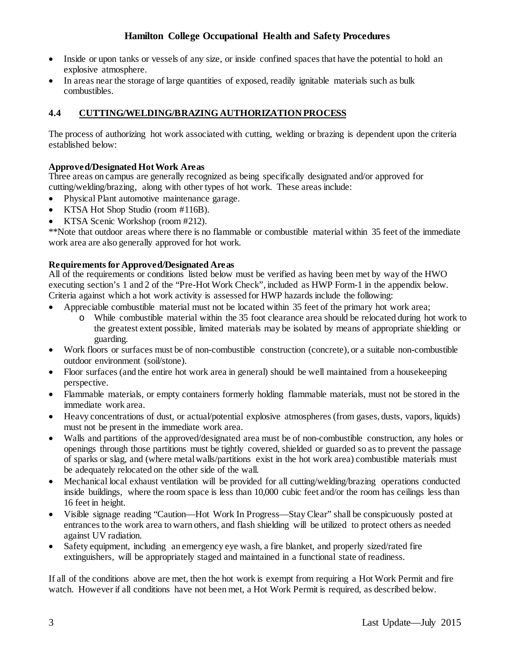- Inside or upon tanks or vessels of any size, or inside confined spaces that have the potential to hold an explosive atmosphere.
- In areas near the storage of large quantities of exposed, readily ignitable materials such as bulk combustibles.

# **4.4 CUTTING/WELDING/BRAZING AUTHORIZATION PROCESS**

The process of authorizing hot work associated with cutting, welding or brazing is dependent upon the criteria established below:

#### **Approved/Designated Hot Work Areas**

Three areas on campus are generally recognized as being specifically designated and/or approved for cutting/welding/brazing, along with other types of hot work. These areas include:

- Physical Plant automotive maintenance garage.
- KTSA Hot Shop Studio (room #116B).
- KTSA Scenic Workshop (room #212).

\*\*Note that outdoor areas where there is no flammable or combustible material within 35 feet of the immediate work area are also generally approved for hot work.

#### **Requirements for Approved/Designated Areas**

All of the requirements or conditions listed below must be verified as having been met by way of the HWO executing section's 1 and 2 of the "Pre-Hot Work Check", included as HWP Form-1 in the appendix below. Criteria against which a hot work activity is assessed for HWP hazards include the following:

- Appreciable combustible material must not be located within 35 feet of the primary hot work area;
	- o While combustible material within the 35 foot clearance area should be relocated during hot work to the greatest extent possible, limited materials may be isolated by means of appropriate shielding or guarding.
- Work floors or surfaces must be of non-combustible construction (concrete), or a suitable non-combustible outdoor environment (soil/stone).
- Floor surfaces (and the entire hot work area in general) should be well maintained from a housekeeping perspective.
- Flammable materials, or empty containers formerly holding flammable materials, must not be stored in the immediate work area.
- Heavy concentrations of dust, or actual/potential explosive atmospheres (from gases, dusts, vapors, liquids) must not be present in the immediate work area.
- Walls and partitions of the approved/designated area must be of non-combustible construction, any holes or openings through those partitions must be tightly covered, shielded or guarded so as to prevent the passage of sparks or slag, and (where metal walls/partitions exist in the hot work area) combustible materials must be adequately relocated on the other side of the wall.
- Mechanical local exhaust ventilation will be provided for all cutting/welding/brazing operations conducted inside buildings, where the room space is less than 10,000 cubic feet and/or the room has ceilings less than 16 feet in height.
- Visible signage reading "Caution—Hot Work In Progress—Stay Clear" shall be conspicuously posted at entrances to the work area to warn others, and flash shielding will be utilized to protect others as needed against UV radiation.
- Safety equipment, including an emergency eye wash, a fire blanket, and properly sized/rated fire extinguishers, will be appropriately staged and maintained in a functional state of readiness.

If all of the conditions above are met, then the hot work is exempt from requiring a Hot Work Permit and fire watch. However if all conditions have not been met, a Hot Work Permit is required, as described below.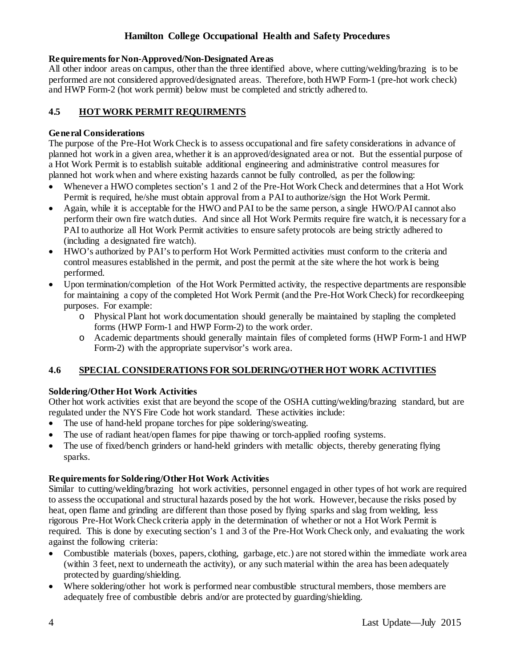#### **Requirements for Non-Approved/Non-Designated Areas**

All other indoor areas on campus, other than the three identified above, where cutting/welding/brazing is to be performed are not considered approved/designated areas. Therefore, both HWP Form-1 (pre-hot work check) and HWP Form-2 (hot work permit) below must be completed and strictly adhered to.

### **4.5 HOT WORK PERMIT REQUIRMENTS**

#### **General Considerations**

The purpose of the Pre-Hot Work Check is to assess occupational and fire safety considerations in advance of planned hot work in a given area, whether it is an approved/designated area or not. But the essential purpose of a Hot Work Permit is to establish suitable additional engineering and administrative control measures for planned hot work when and where existing hazards cannot be fully controlled, as per the following:

- Whenever a HWO completes section's 1 and 2 of the Pre-Hot Work Check and determines that a Hot Work Permit is required, he/she must obtain approval from a PAI to authorize/sign the Hot Work Permit.
- Again, while it is acceptable for the HWO and PAI to be the same person, a single HWO/PAI cannot also perform their own fire watch duties. And since all Hot Work Permits require fire watch, it is necessary for a PAI to authorize all Hot Work Permit activities to ensure safety protocols are being strictly adhered to (including a designated fire watch).
- HWO's authorized by PAI's to perform Hot Work Permitted activities must conform to the criteria and control measures established in the permit, and post the permit at the site where the hot work is being performed.
- Upon termination/completion of the Hot Work Permitted activity, the respective departments are responsible for maintaining a copy of the completed Hot Work Permit (and the Pre-Hot Work Check) for recordkeeping purposes. For example:
	- o Physical Plant hot work documentation should generally be maintained by stapling the completed forms (HWP Form-1 and HWP Form-2) to the work order.
	- o Academic departments should generally maintain files of completed forms (HWP Form-1 and HWP Form-2) with the appropriate supervisor's work area.

# **4.6 SPECIAL CONSIDERATIONS FOR SOLDERING/OTHER HOT WORK ACTIVITIES**

#### **Soldering/Other Hot Work Activities**

Other hot work activities exist that are beyond the scope of the OSHA cutting/welding/brazing standard, but are regulated under the NYS Fire Code hot work standard. These activities include:

- The use of hand-held propane torches for pipe soldering/sweating.
- The use of radiant heat/open flames for pipe thawing or torch-applied roofing systems.
- The use of fixed/bench grinders or hand-held grinders with metallic objects, thereby generating flying sparks.

#### **Requirements for Soldering/Other Hot Work Activities**

Similar to cutting/welding/brazing hot work activities, personnel engaged in other types of hot work are required to assess the occupational and structural hazards posed by the hot work. However, because the risks posed by heat, open flame and grinding are different than those posed by flying sparks and slag from welding, less rigorous Pre-Hot Work Check criteria apply in the determination of whether or not a Hot Work Permit is required. This is done by executing section's 1 and 3 of the Pre-Hot Work Check only, and evaluating the work against the following criteria:

- Combustible materials (boxes, papers, clothing, garbage, etc.) are not stored within the immediate work area (within 3 feet, next to underneath the activity), or any such material within the area has been adequately protected by guarding/shielding.
- Where soldering/other hot work is performed near combustible structural members, those members are adequately free of combustible debris and/or are protected by guarding/shielding.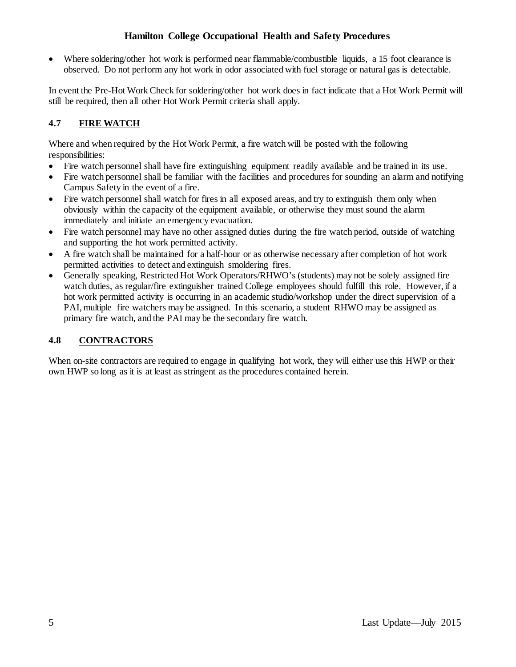• Where soldering/other hot work is performed near flammable/combustible liquids, a 15 foot clearance is observed. Do not perform any hot work in odor associated with fuel storage or natural gas is detectable.

In event the Pre-Hot Work Check for soldering/other hot work does in fact indicate that a Hot Work Permit will still be required, then all other Hot Work Permit criteria shall apply.

# **4.7 FIRE WATCH**

Where and when required by the Hot Work Permit, a fire watch will be posted with the following responsibilities:

- Fire watch personnel shall have fire extinguishing equipment readily available and be trained in its use.
- Fire watch personnel shall be familiar with the facilities and procedures for sounding an alarm and notifying Campus Safety in the event of a fire.
- Fire watch personnel shall watch for fires in all exposed areas, and try to extinguish them only when obviously within the capacity of the equipment available, or otherwise they must sound the alarm immediately and initiate an emergency evacuation.
- Fire watch personnel may have no other assigned duties during the fire watch period, outside of watching and supporting the hot work permitted activity.
- A fire watch shall be maintained for a half-hour or as otherwise necessary after completion of hot work permitted activities to detect and extinguish smoldering fires.
- Generally speaking, Restricted Hot Work Operators/RHWO's (students) may not be solely assigned fire watch duties, as regular/fire extinguisher trained College employees should fulfill this role. However, if a hot work permitted activity is occurring in an academic studio/workshop under the direct supervision of a PAI, multiple fire watchers may be assigned. In this scenario, a student RHWO may be assigned as primary fire watch, and the PAI may be the secondary fire watch.

# **4.8 CONTRACTORS**

When on-site contractors are required to engage in qualifying hot work, they will either use this HWP or their own HWP so long as it is at least as stringent as the procedures contained herein.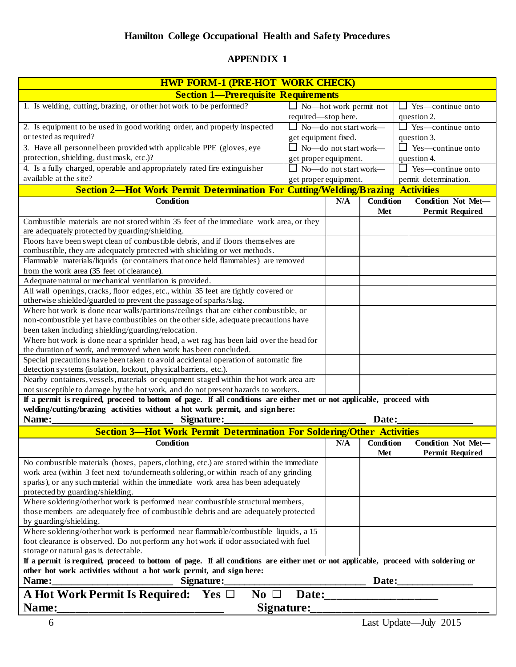# **APPENDIX 1**

| <b>HWP FORM-1 (PRE-HOT WORK CHECK)</b>                                                                                                                                       |                                                |     |                         |                                              |  |  |
|------------------------------------------------------------------------------------------------------------------------------------------------------------------------------|------------------------------------------------|-----|-------------------------|----------------------------------------------|--|--|
| <b>Section 1—Prerequisite Requirements</b>                                                                                                                                   |                                                |     |                         |                                              |  |  |
| 1. Is welding, cutting, brazing, or other hot work to be performed?                                                                                                          | $\Box$ No-hot work permit not                  |     |                         | $\Box$ Yes—continue onto                     |  |  |
|                                                                                                                                                                              | required—stop here.<br>question 2.             |     |                         |                                              |  |  |
| 2. Is equipment to be used in good working order, and properly inspected                                                                                                     | $\Box$ No—do not start work—                   |     |                         | $\Box$ Yes—continue onto                     |  |  |
| or tested as required?                                                                                                                                                       | get equipment fixed.                           |     |                         | question 3.                                  |  |  |
| 3. Have all personnelbeen provided with applicable PPE (gloves, eye                                                                                                          | $\Box$ No-do not start work-                   |     |                         | $\overline{\phantom{a}}$ Yes—continue onto   |  |  |
| protection, shielding, dust mask, etc.)?                                                                                                                                     | get proper equipment.                          |     |                         | question 4.                                  |  |  |
| 4. Is a fully charged, operable and appropriately rated fire extinguisher                                                                                                    | $\overline{\phantom{a}}$ No-do not start work- |     |                         | $\overline{\phantom{a}}$ Yes—continue onto   |  |  |
| available at the site?                                                                                                                                                       | get proper equipment.                          |     |                         | permit determination.                        |  |  |
| <b>Section 2—Hot Work Permit Determination For Cutting/Welding/Brazing Activities</b>                                                                                        |                                                |     |                         |                                              |  |  |
| <b>Condition</b>                                                                                                                                                             |                                                | N/A | <b>Condition</b>        | <b>Condition Not Met-</b>                    |  |  |
|                                                                                                                                                                              |                                                |     | Met                     | <b>Permit Required</b>                       |  |  |
| Combustible materials are not stored within 35 feet of the immediate work area, or they                                                                                      |                                                |     |                         |                                              |  |  |
| are adequately protected by guarding/shielding.                                                                                                                              |                                                |     |                         |                                              |  |  |
| Floors have been swept clean of combustible debris, and if floors themselves are                                                                                             |                                                |     |                         |                                              |  |  |
| combustible, they are adequately protected with shielding or wet methods.                                                                                                    |                                                |     |                         |                                              |  |  |
| Flammable materials/liquids (or containers that once held flammables) are removed                                                                                            |                                                |     |                         |                                              |  |  |
| from the work area (35 feet of clearance).                                                                                                                                   |                                                |     |                         |                                              |  |  |
| Adequate natural or mechanical ventilation is provided.<br>All wall openings, cracks, floor edges, etc., within 35 feet are tightly covered or                               |                                                |     |                         |                                              |  |  |
| otherwise shielded/guarded to prevent the passage of sparks/slag.                                                                                                            |                                                |     |                         |                                              |  |  |
| Where hot work is done near walls/partitions/ceilings that are either combustible, or                                                                                        |                                                |     |                         |                                              |  |  |
| non-combustible yet have combustibles on the other side, adequate precautions have                                                                                           |                                                |     |                         |                                              |  |  |
| been taken including shielding/guarding/relocation.                                                                                                                          |                                                |     |                         |                                              |  |  |
| Where hot work is done near a sprinkler head, a wet rag has been laid over the head for                                                                                      |                                                |     |                         |                                              |  |  |
| the duration of work, and removed when work has been concluded.                                                                                                              |                                                |     |                         |                                              |  |  |
| Special precautions have been taken to avoid accidental operation of automatic fire                                                                                          |                                                |     |                         |                                              |  |  |
| detection systems (isolation, lockout, physical barriers, etc.).                                                                                                             |                                                |     |                         |                                              |  |  |
| Nearby containers, vessels, materials or equipment staged within the hot work area are                                                                                       |                                                |     |                         |                                              |  |  |
| not susceptible to damage by the hot work, and do not present hazards to workers.                                                                                            |                                                |     |                         |                                              |  |  |
| If a permit is required, proceed to bottom of page. If all conditions are either met or not applicable, proceed with                                                         |                                                |     |                         |                                              |  |  |
| welding/cutting/brazing activities without a hot work permit, and sign here:                                                                                                 |                                                |     |                         |                                              |  |  |
| Name:<br>Signature:                                                                                                                                                          |                                                |     | Date:                   |                                              |  |  |
| <b>Section 3-Hot Work Permit Determination For Soldering/Other Activities</b>                                                                                                |                                                |     |                         |                                              |  |  |
| Condition                                                                                                                                                                    |                                                | N/A | Condition<br><b>Met</b> | Condition Not Met-<br><b>Permit Required</b> |  |  |
| No combustible materials (boxes, papers, clothing, etc.) are stored within the immediate                                                                                     |                                                |     |                         |                                              |  |  |
| work area (within 3 feet next to/underneath soldering, or within reach of any grinding                                                                                       |                                                |     |                         |                                              |  |  |
| sparks), or any such material within the immediate work area has been adequately                                                                                             |                                                |     |                         |                                              |  |  |
| protected by guarding/shielding.                                                                                                                                             |                                                |     |                         |                                              |  |  |
| Where soldering/other hot work is performed near combustible structural members,                                                                                             |                                                |     |                         |                                              |  |  |
| those members are adequately free of combustible debris and are adequately protected                                                                                         |                                                |     |                         |                                              |  |  |
| by guarding/shielding.                                                                                                                                                       |                                                |     |                         |                                              |  |  |
| Where soldering/other hot work is performed near flammable/combustible liquids, a 15<br>foot clearance is observed. Do not perform any hot work if odor associated with fuel |                                                |     |                         |                                              |  |  |
| storage or natural gas is detectable.                                                                                                                                        |                                                |     |                         |                                              |  |  |
| If a permit is required, proceed to bottom of page. If all conditions are either met or not applicable, proceed with soldering or                                            |                                                |     |                         |                                              |  |  |
| other hot work activities without a hot work permit, and sign here:                                                                                                          |                                                |     |                         |                                              |  |  |
| Name:<br>Signature:                                                                                                                                                          |                                                |     | Date:                   |                                              |  |  |
| A Hot Work Permit Is Required: Yes □<br>Date:<br>$\bf{No}$ $\Box$                                                                                                            |                                                |     |                         |                                              |  |  |
| Signature:<br>Name:                                                                                                                                                          |                                                |     |                         |                                              |  |  |
| 6                                                                                                                                                                            |                                                |     |                         | Last Update—July 2015                        |  |  |
|                                                                                                                                                                              |                                                |     |                         |                                              |  |  |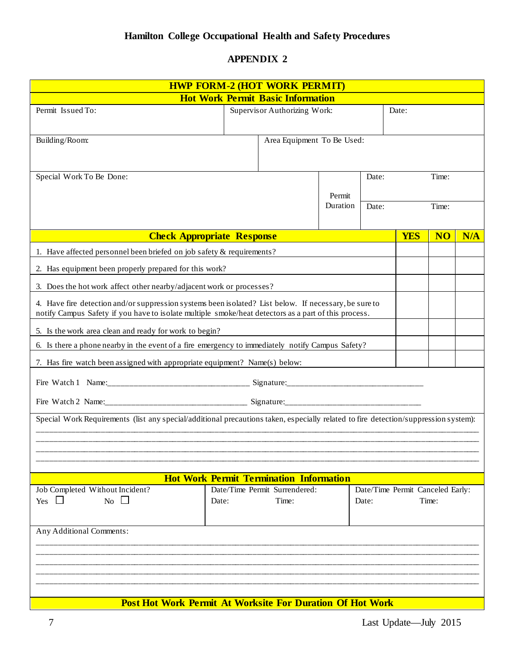# **APPENDIX 2**

| <b>HWP FORM-2 (HOT WORK PERMIT)</b>                                                                                                 |                                                                  |                                                                                              |          |                |            |                |     |  |
|-------------------------------------------------------------------------------------------------------------------------------------|------------------------------------------------------------------|----------------------------------------------------------------------------------------------|----------|----------------|------------|----------------|-----|--|
| <b>Hot Work Permit Basic Information</b>                                                                                            |                                                                  |                                                                                              |          |                |            |                |     |  |
| Permit Issued To:                                                                                                                   |                                                                  | Supervisor Authorizing Work:                                                                 |          |                | Date:      |                |     |  |
|                                                                                                                                     |                                                                  |                                                                                              |          |                |            |                |     |  |
| Building/Room:                                                                                                                      |                                                                  | Area Equipment To Be Used:                                                                   |          |                |            |                |     |  |
|                                                                                                                                     |                                                                  |                                                                                              |          |                |            |                |     |  |
| Special Work To Be Done:                                                                                                            |                                                                  | Date:                                                                                        |          |                | Time:      |                |     |  |
|                                                                                                                                     |                                                                  |                                                                                              | Permit   |                |            |                |     |  |
|                                                                                                                                     |                                                                  |                                                                                              | Duration | Time:<br>Date: |            |                |     |  |
|                                                                                                                                     |                                                                  |                                                                                              |          |                |            |                |     |  |
| <b>Check Appropriate Response</b>                                                                                                   |                                                                  |                                                                                              |          |                | <b>YES</b> | N <sub>O</sub> | N/A |  |
| 1. Have affected personnel been briefed on job safety & requirements?                                                               |                                                                  |                                                                                              |          |                |            |                |     |  |
| 2. Has equipment been properly prepared for this work?                                                                              |                                                                  |                                                                                              |          |                |            |                |     |  |
| 3. Does the hot work affect other nearby/adjacent work or processes?                                                                |                                                                  |                                                                                              |          |                |            |                |     |  |
| 4. Have fire detection and/or suppression systems been isolated? List below. If necessary, be sure to                               |                                                                  |                                                                                              |          |                |            |                |     |  |
| notify Campus Safety if you have to isolate multiple smoke/heat detectors as a part of this process.                                |                                                                  |                                                                                              |          |                |            |                |     |  |
| 5. Is the work area clean and ready for work to begin?                                                                              |                                                                  |                                                                                              |          |                |            |                |     |  |
| 6. Is there a phone nearby in the event of a fire emergency to immediately notify Campus Safety?                                    |                                                                  |                                                                                              |          |                |            |                |     |  |
| 7. Has fire watch been assigned with appropriate equipment? Name(s) below:                                                          |                                                                  |                                                                                              |          |                |            |                |     |  |
|                                                                                                                                     |                                                                  |                                                                                              |          |                |            |                |     |  |
|                                                                                                                                     |                                                                  |                                                                                              |          |                |            |                |     |  |
| Special Work Requirements (list any special/additional precautions taken, especially related to fire detection/suppression system): |                                                                  |                                                                                              |          |                |            |                |     |  |
|                                                                                                                                     |                                                                  |                                                                                              |          |                |            |                |     |  |
|                                                                                                                                     |                                                                  |                                                                                              |          |                |            |                |     |  |
|                                                                                                                                     |                                                                  |                                                                                              |          |                |            |                |     |  |
|                                                                                                                                     |                                                                  | <b>Hot Work Permit Termination Information</b>                                               |          |                |            |                |     |  |
| Job Completed Without Incident?<br>$\mathbf{1}$<br>No<br>Yes                                                                        | Date:                                                            | Date/Time Permit Surrendered:<br>Date/Time Permit Canceled Early:<br>Time:<br>Time:<br>Date: |          |                |            |                |     |  |
|                                                                                                                                     |                                                                  |                                                                                              |          |                |            |                |     |  |
| Any Additional Comments:                                                                                                            |                                                                  |                                                                                              |          |                |            |                |     |  |
|                                                                                                                                     |                                                                  |                                                                                              |          |                |            |                |     |  |
|                                                                                                                                     |                                                                  |                                                                                              |          |                |            |                |     |  |
|                                                                                                                                     |                                                                  |                                                                                              |          |                |            |                |     |  |
|                                                                                                                                     |                                                                  |                                                                                              |          |                |            |                |     |  |
|                                                                                                                                     | <b>Post Hot Work Permit At Worksite For Duration Of Hot Work</b> |                                                                                              |          |                |            |                |     |  |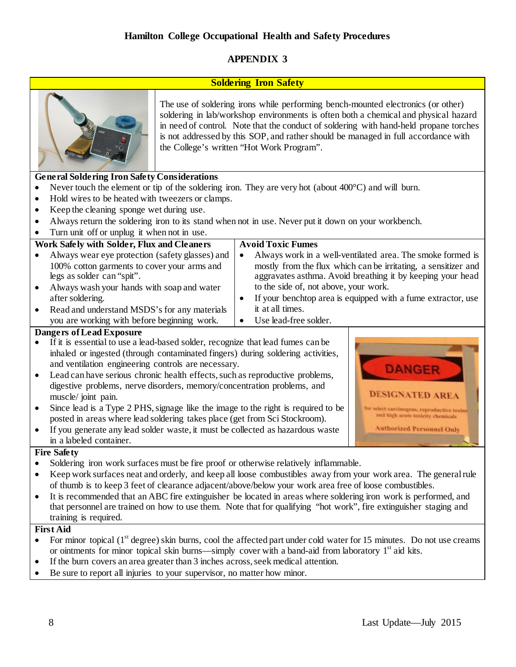# **APPENDIX 3**

#### **Soldering Iron Safety**



The use of soldering irons while performing bench-mounted electronics (or other) soldering in lab/workshop environments is often both a chemical and physical hazard in need of control. Note that the conduct of soldering with hand-held propane torches is not addressed by this SOP, and rather should be managed in full accordance with the College's written "Hot Work Program".

#### **General Soldering Iron Safety Considerations**

- Never touch the element or tip of the soldering iron. They are very hot (about 400<sup>o</sup>C) and will burn.
- Hold wires to be heated with tweezers or clamps.
- Keep the cleaning sponge wet during use.
- Always return the soldering iron to its stand when not in use. Never put it down on your workbench.
- Turn unit off or unplug it when not in use.

| Work Safely with Solder, Flux and Cleaners      | <b>Avoid Toxic Fumes</b>              |                                                                |  |
|-------------------------------------------------|---------------------------------------|----------------------------------------------------------------|--|
| Always wear eye protection (safety glasses) and |                                       | Always work in a well-ventilated area. The smoke formed is     |  |
| 100% cotton garments to cover your arms and     |                                       | mostly from the flux which can be irritating, a sensitizer and |  |
| legs as solder can "spit".                      |                                       | aggravates asthma. Avoid breathing it by keeping your head     |  |
| Always wash your hands with soap and water      | to the side of, not above, your work. |                                                                |  |
| after soldering.                                |                                       | If your benchtop area is equipped with a fume extractor, use   |  |
| Read and understand MSDS's for any materials    | it at all times.                      |                                                                |  |
| you are working with before beginning work.     | Use lead-free solder.                 |                                                                |  |
| <b>Dangers of Lead Exposure</b>                 |                                       |                                                                |  |

- If it is essential to use a lead-based solder, recognize that lead fumes can be inhaled or ingested (through contaminated fingers) during soldering activities, and ventilation engineering controls are necessary.
- Lead can have serious chronic health effects, such as reproductive problems, digestive problems, nerve disorders, memory/concentration problems, and muscle/ joint pain.
- Since lead is a Type 2 PHS, signage like the image to the right is required to be posted in areas where lead soldering takes place (get from Sci Stockroom).
- If you generate any lead solder waste, it must be collected as hazardous waste in a labeled container.



#### **Fire Safety**

- Soldering iron work surfaces must be fire proof or otherwise relatively inflammable.
- Keep work surfaces neat and orderly, and keep all loose combustibles away from your work area. The general rule of thumb is to keep 3 feet of clearance adjacent/above/below your work area free of loose combustibles.
- It is recommended that an ABC fire extinguisher be located in areas where soldering iron work is performed, and that personnel are trained on how to use them. Note that for qualifying "hot work", fire extinguisher staging and training is required.

# **First Aid**

- For minor topical  $(1<sup>st</sup> degree)$  skin burns, cool the affected part under cold water for 15 minutes. Do not use creams or ointments for minor topical skin burns—simply cover with a band-aid from laboratory  $1<sup>st</sup>$  aid kits.
- If the burn covers an area greater than 3 inches across, seek medical attention.
- Be sure to report all injuries to your supervisor, no matter how minor.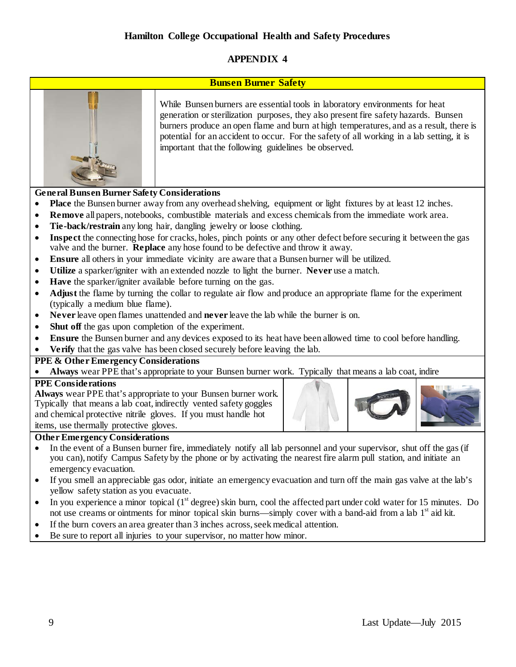# **APPENDIX 4**

#### **Bunsen Burner Safety**



While Bunsen burners are essential tools in laboratory environments for heat generation or sterilization purposes, they also present fire safety hazards. Bunsen burners produce an open flame and burn at high temperatures, and as a result, there is potential for an accident to occur. For the safety of all working in a lab setting, it is important that the following guidelines be observed.

#### **General Bunsen Burner Safety Considerations**

- **Place** the Bunsen burner away from any overhead shelving, equipment or light fixtures by at least 12 inches.
- **Remove** all papers, notebooks, combustible materials and excess chemicals from the immediate work area.
- **Tie-back/restrain** any long hair, dangling jewelry or loose clothing.
- **Inspect** the connecting hose for cracks, holes, pinch points or any other defect before securing it between the gas valve and the burner. **Replace** any hose found to be defective and throw it away.
- **Ensure** all others in your immediate vicinity are aware that a Bunsen burner will be utilized.
- **Utilize** a sparker/igniter with an extended nozzle to light the burner. **Never** use a match.
- **Have** the sparker/igniter available before turning on the gas.
- **Adjust** the flame by turning the collar to regulate air flow and produce an appropriate flame for the experiment (typically a medium blue flame).
- **Never** leave open flames unattended and **never** leave the lab while the burner is on.
- **Shut off** the gas upon completion of the experiment.
- **Ensure** the Bunsen burner and any devices exposed to its heat have been allowed time to cool before handling.
- **Verify** that the gas valve has been closed securely before leaving the lab.

### **PPE & Other Emergency Considerations**

• **Always** wear PPE that's appropriate to your Bunsen burner work. Typically that means a lab coat, indire

#### **PPE Considerations**

**Always** wear PPE that's appropriate to your Bunsen burner work. Typically that means a lab coat, indirectly vented safety goggles and chemical protective nitrile gloves. If you must handle hot items, use thermally protective gloves.



# **Other Emergency Considerations**

- In the event of a Bunsen burner fire, immediately notify all lab personnel and your supervisor, shut off the gas (if you can), notify Campus Safety by the phone or by activating the nearest fire alarm pull station, and initiate an emergency evacuation.
- If you smell an appreciable gas odor, initiate an emergency evacuation and turn off the main gas valve at the lab's yellow safety station as you evacuate.
- In you experience a minor topical  $(1<sup>st</sup>$  degree) skin burn, cool the affected part under cold water for 15 minutes. Do not use creams or ointments for minor topical skin burns—simply cover with a band-aid from a lab 1<sup>st</sup> aid kit.
- If the burn covers an area greater than 3 inches across, seek medical attention.
- Be sure to report all injuries to your supervisor, no matter how minor.